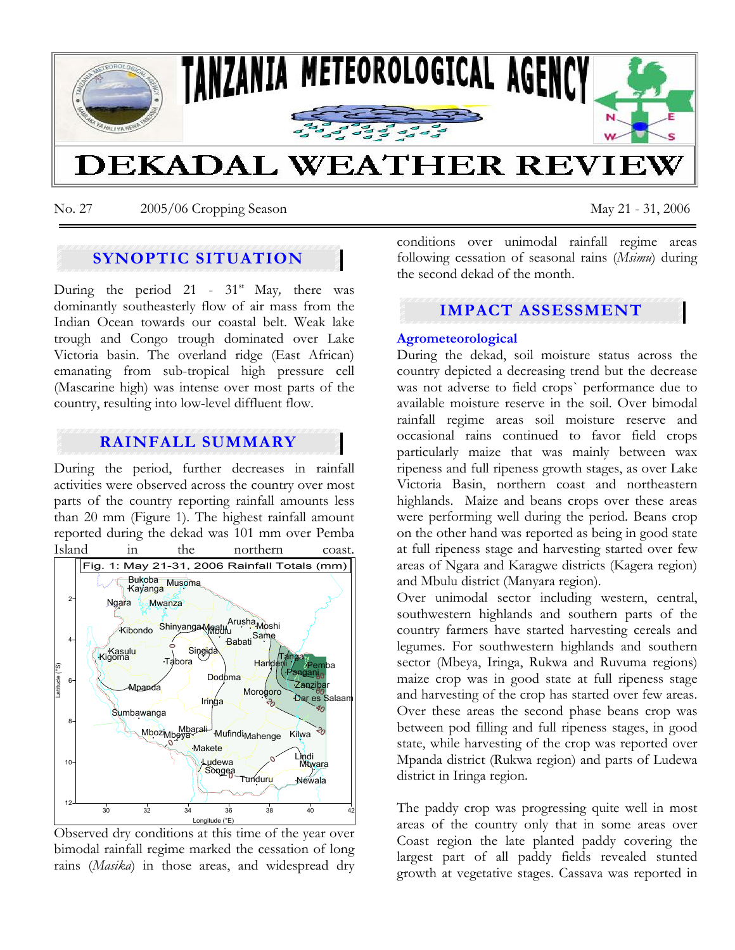

No. 27 2005/06 Cropping Season May 21 - 31, 2006

# **SYNOPTIC SITUATION**

During the period 21 - 31<sup>st</sup> May, there was dominantly southeasterly flow of air mass from the Indian Ocean towards our coastal belt. Weak lake trough and Congo trough dominated over Lake Victoria basin. The overland ridge (East African) emanating from sub-tropical high pressure cell (Mascarine high) was intense over most parts of the country, resulting into low-level diffluent flow.

### **RAINFALL SUMMARY**

During the period, further decreases in rainfall activities were observed across the country over most parts of the country reporting rainfall amounts less than 20 mm (Figure 1). The highest rainfall amount reported during the dekad was 101 mm over Pemba Island in the northern coast.



Observed dry conditions at this time of the year over bimodal rainfall regime marked the cessation of long rains (*Masika*) in those areas, and widespread dry

conditions over unimodal rainfall regime areas following cessation of seasonal rains (*Msimu*) during the second dekad of the month.

# **IMPACT ASSESSMENT**

#### **Agrometeorological**

During the dekad, soil moisture status across the country depicted a decreasing trend but the decrease was not adverse to field crops` performance due to available moisture reserve in the soil. Over bimodal rainfall regime areas soil moisture reserve and occasional rains continued to favor field crops particularly maize that was mainly between wax ripeness and full ripeness growth stages, as over Lake Victoria Basin, northern coast and northeastern highlands. Maize and beans crops over these areas were performing well during the period. Beans crop on the other hand was reported as being in good state at full ripeness stage and harvesting started over few areas of Ngara and Karagwe districts (Kagera region) and Mbulu district (Manyara region).

Over unimodal sector including western, central, southwestern highlands and southern parts of the country farmers have started harvesting cereals and legumes. For southwestern highlands and southern sector (Mbeya, Iringa, Rukwa and Ruvuma regions) maize crop was in good state at full ripeness stage and harvesting of the crop has started over few areas. Over these areas the second phase beans crop was between pod filling and full ripeness stages, in good state, while harvesting of the crop was reported over Mpanda district (Rukwa region) and parts of Ludewa district in Iringa region.

The paddy crop was progressing quite well in most areas of the country only that in some areas over Coast region the late planted paddy covering the largest part of all paddy fields revealed stunted growth at vegetative stages. Cassava was reported in